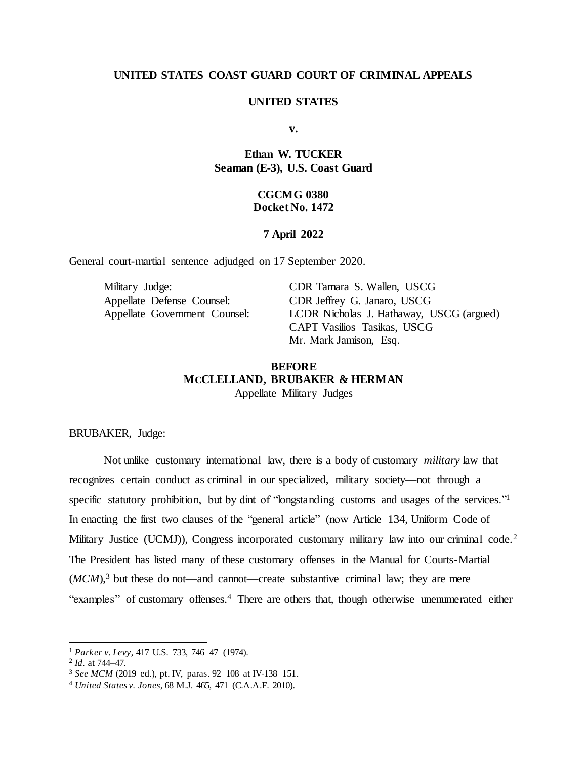# **UNITED STATES COAST GUARD COURT OF CRIMINAL APPEALS**

### **UNITED STATES**

**v.**

# **Ethan W. TUCKER Seaman (E-3), U.S. Coast Guard**

# **CGCMG 0380 Docket No. 1472**

### **7 April 2022**

General court-martial sentence adjudged on 17 September 2020.

Military Judge: CDR Tamara S. Wallen, USCG Appellate Defense Counsel: CDR Jeffrey G. Janaro, USCG

Appellate Government Counsel: LCDR Nicholas J. Hathaway, USCG (argued) CAPT Vasilios Tasikas, USCG Mr. Mark Jamison, Esq.

# **BEFORE MCCLELLAND, BRUBAKER & HERMAN**

Appellate Military Judges

BRUBAKER, Judge:

Not unlike customary international law, there is a body of customary *military* law that recognizes certain conduct as criminal in our specialized, military society—not through a specific statutory prohibition, but by dint of "longstanding customs and usages of the services."<sup>1</sup> In enacting the first two clauses of the "general article" (now Article 134, Uniform Code of Military Justice (UCMJ)), Congress incorporated customary military law into our criminal code.<sup>2</sup> The President has listed many of these customary offenses in the Manual for Courts-Martial  $(MCM)$ <sup>3</sup>, but these do not—and cannot—create substantive criminal law; they are mere "examples" of customary offenses.<sup>4</sup> There are others that, though otherwise unenumerated either

<sup>1</sup> *Parker v. Levy*, 417 U.S. 733, 746–47 (1974).

<sup>2</sup> *Id.* at 744–47.

<sup>3</sup> *See MCM* (2019 ed.), pt. IV, paras. 92–108 at IV-138–151.

<sup>4</sup> *United States v. Jones*, 68 M.J. 465, 471 (C.A.A.F. 2010).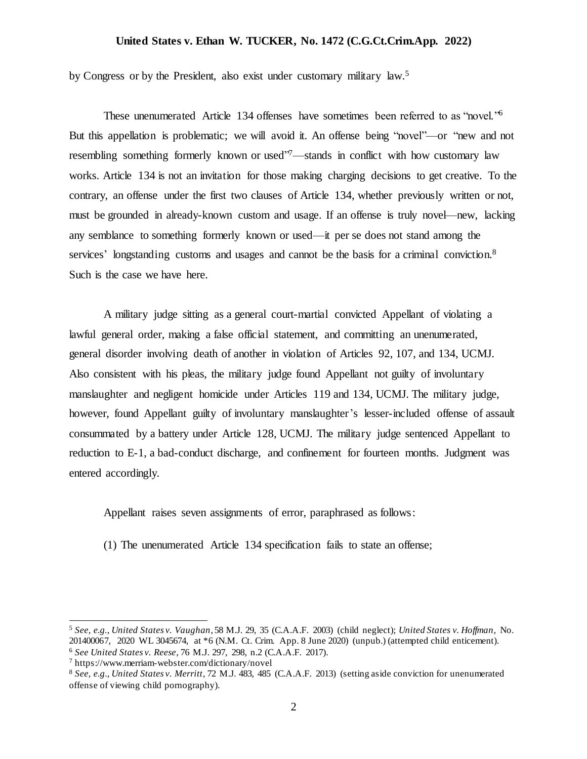by Congress or by the President, also exist under customary military law.<sup>5</sup>

These unenumerated Article 134 offenses have sometimes been referred to as "novel."<sup>6</sup> But this appellation is problematic; we will avoid it. An offense being "novel"—or "new and not resembling something formerly known or used"<sup>7</sup>—stands in conflict with how customary law works. Article 134 is not an invitation for those making charging decisions to get creative. To the contrary, an offense under the first two clauses of Article 134, whether previously written or not, must be grounded in already-known custom and usage. If an offense is truly novel—new, lacking any semblance to something formerly known or used—it per se does not stand among the services' longstanding customs and usages and cannot be the basis for a criminal conviction.<sup>8</sup> Such is the case we have here.

A military judge sitting as a general court-martial convicted Appellant of violating a lawful general order, making a false official statement, and committing an unenumerated, general disorder involving death of another in violation of Articles 92, 107, and 134, UCMJ. Also consistent with his pleas, the military judge found Appellant not guilty of involuntary manslaughter and negligent homicide under Articles 119 and 134, UCMJ. The military judge, however, found Appellant guilty of involuntary manslaughter's lesser-included offense of assault consummated by a battery under Article 128, UCMJ. The military judge sentenced Appellant to reduction to E-1, a bad-conduct discharge, and confinement for fourteen months. Judgment was entered accordingly.

Appellant raises seven assignments of error, paraphrased as follows:

(1) The unenumerated Article 134 specification fails to state an offense;

<sup>5</sup> *See, e.g., United States v. Vaughan*, 58 M.J. 29, 35 (C.A.A.F. 2003) (child neglect); *United States v. Hoffman*, No. 201400067, 2020 WL 3045674, at \*6 (N.M. Ct. Crim. App. 8 June 2020) (unpub.) (attempted child enticement). <sup>6</sup> *See United States v. Reese*, 76 M.J. 297, 298, n.2 (C.A.A.F. 2017).

<sup>7</sup> https://www.merriam-webster.com/dictionary/novel

<sup>8</sup> *See, e.g., United States v. Merritt*, 72 M.J. 483, 485 (C.A.A.F. 2013) (setting aside conviction for unenumerated offense of viewing child pornography).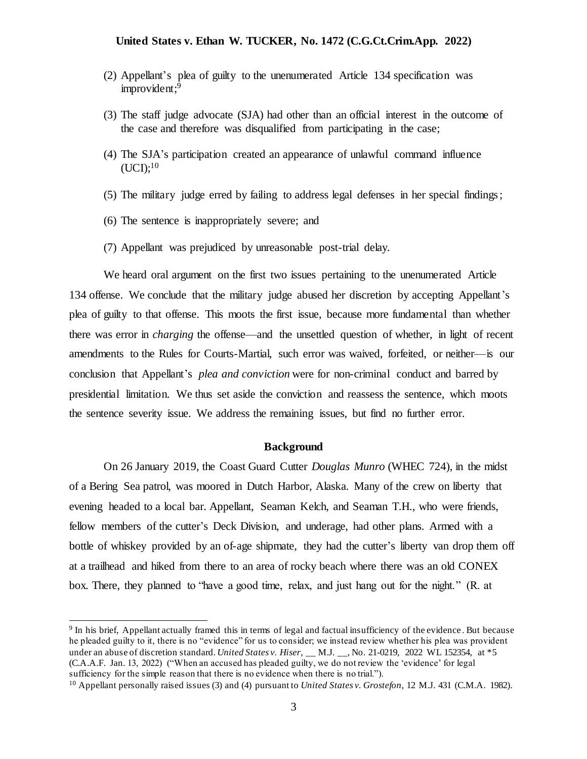- (2) Appellant's plea of guilty to the unenumerated Article 134 specification was improvident; 9
- (3) The staff judge advocate (SJA) had other than an official interest in the outcome of the case and therefore was disqualified from participating in the case;
- (4) The SJA's participation created an appearance of unlawful command influence  $(UCI);^{10}$
- (5) The military judge erred by failing to address legal defenses in her special findings;
- (6) The sentence is inappropriately severe; and

l

(7) Appellant was prejudiced by unreasonable post-trial delay.

We heard oral argument on the first two issues pertaining to the unenumerated Article 134 offense. We conclude that the military judge abused her discretion by accepting Appellant's plea of guilty to that offense. This moots the first issue, because more fundamental than whether there was error in *charging* the offense—and the unsettled question of whether, in light of recent amendments to the Rules for Courts-Martial, such error was waived, forfeited, or neither—is our conclusion that Appellant's *plea and conviction* were for non-criminal conduct and barred by presidential limitation. We thus set aside the conviction and reassess the sentence, which moots the sentence severity issue. We address the remaining issues, but find no further error.

### **Background**

On 26 January 2019, the Coast Guard Cutter *Douglas Munro* (WHEC 724), in the midst of a Bering Sea patrol, was moored in Dutch Harbor, Alaska. Many of the crew on liberty that evening headed to a local bar. Appellant, Seaman Kelch, and Seaman T.H., who were friends, fellow members of the cutter's Deck Division, and underage, had other plans. Armed with a bottle of whiskey provided by an of-age shipmate, they had the cutter's liberty van drop them off at a trailhead and hiked from there to an area of rocky beach where there was an old CONEX box. There, they planned to "have a good time, relax, and just hang out for the night." (R. at

<sup>&</sup>lt;sup>9</sup> In his brief, Appellant actually framed this in terms of legal and factual insufficiency of the evidence. But because he pleaded guilty to it, there is no "evidence" for us to consider; we instead review whether his plea was provident under an abuse of discretion standard. *United States v. Hiser*, \_\_ M.J. \_\_, No. 21-0219, 2022 WL 152354, at \*5 (C.A.A.F. Jan. 13, 2022) ("When an accused has pleaded guilty, we do not review the 'evidence' for legal sufficiency for the simple reason that there is no evidence when there is no trial.").

<sup>10</sup> Appellant personally raised issues (3) and (4) pursuant to *United States v. Grostefon*, 12 M.J. 431 (C.M.A. 1982).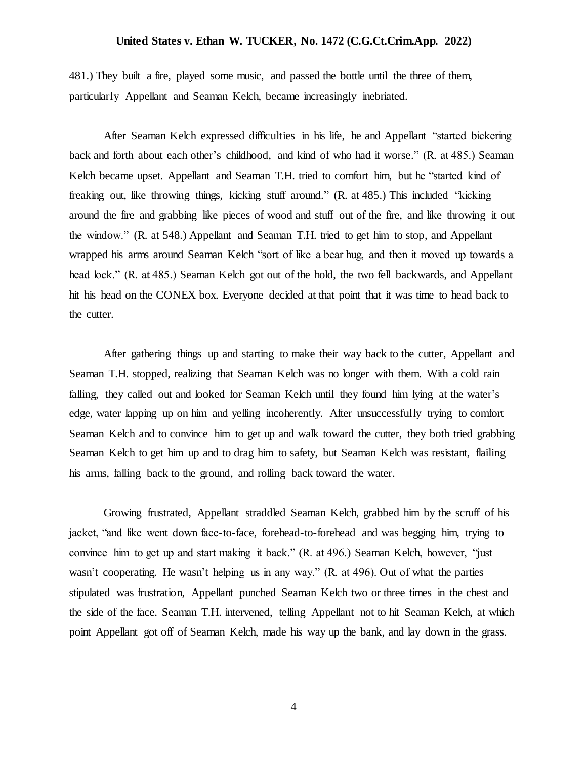481.) They built a fire, played some music, and passed the bottle until the three of them, particularly Appellant and Seaman Kelch, became increasingly inebriated.

After Seaman Kelch expressed difficulties in his life, he and Appellant "started bickering back and forth about each other's childhood, and kind of who had it worse." (R. at 485.) Seaman Kelch became upset. Appellant and Seaman T.H. tried to comfort him, but he "started kind of freaking out, like throwing things, kicking stuff around." (R. at 485.) This included "kicking around the fire and grabbing like pieces of wood and stuff out of the fire, and like throwing it out the window." (R. at 548.) Appellant and Seaman T.H. tried to get him to stop, and Appellant wrapped his arms around Seaman Kelch "sort of like a bear hug, and then it moved up towards a head lock." (R. at 485.) Seaman Kelch got out of the hold, the two fell backwards, and Appellant hit his head on the CONEX box. Everyone decided at that point that it was time to head back to the cutter.

After gathering things up and starting to make their way back to the cutter, Appellant and Seaman T.H. stopped, realizing that Seaman Kelch was no longer with them. With a cold rain falling, they called out and looked for Seaman Kelch until they found him lying at the water's edge, water lapping up on him and yelling incoherently. After unsuccessfully trying to comfort Seaman Kelch and to convince him to get up and walk toward the cutter, they both tried grabbing Seaman Kelch to get him up and to drag him to safety, but Seaman Kelch was resistant, flailing his arms, falling back to the ground, and rolling back toward the water.

Growing frustrated, Appellant straddled Seaman Kelch, grabbed him by the scruff of his jacket, "and like went down face-to-face, forehead-to-forehead and was begging him, trying to convince him to get up and start making it back." (R. at 496.) Seaman Kelch, however, "just wasn't cooperating. He wasn't helping us in any way." (R. at 496). Out of what the parties stipulated was frustration, Appellant punched Seaman Kelch two or three times in the chest and the side of the face. Seaman T.H. intervened, telling Appellant not to hit Seaman Kelch, at which point Appellant got off of Seaman Kelch, made his way up the bank, and lay down in the grass.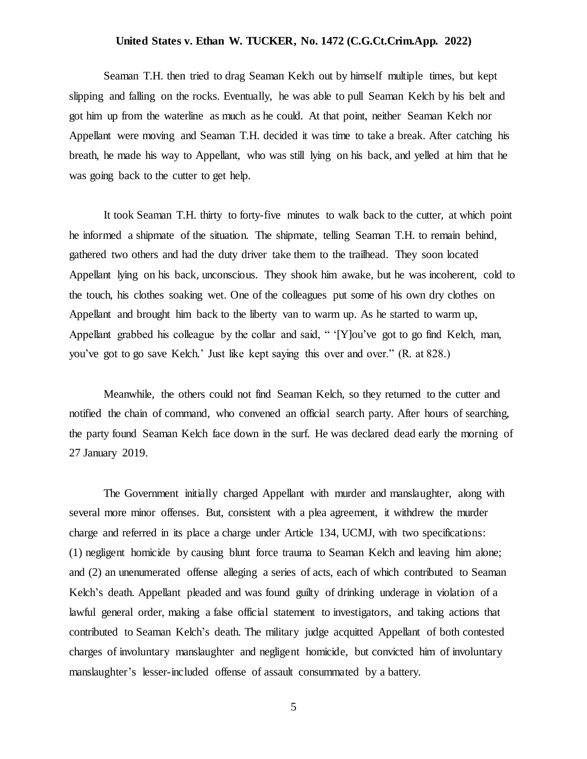Seaman T.H. then tried to drag Seaman Kelch out by himself multiple times, but kept slipping and falling on the rocks. Eventually, he was able to pull Seaman Kelch by his belt and got him up from the waterline as much as he could. At that point, neither Seaman Kelch nor Appellant were moving and Seaman T.H. decided it was time to take a break. After catching his breath, he made his way to Appellant, who was still lying on his back, and yelled at him that he was going back to the cutter to get help.

It took Seaman T.H. thirty to forty-five minutes to walk back to the cutter, at which point he informed a shipmate of the situation. The shipmate, telling Seaman T.H. to remain behind, gathered two others and had the duty driver take them to the trailhead. They soon located Appellant lying on his back, unconscious. They shook him awake, but he was incoherent, cold to the touch, his clothes soaking wet. One of the colleagues put some of his own dry clothes on Appellant and brought him back to the liberty van to warm up. As he started to warm up, Appellant grabbed his colleague by the collar and said, " '[Y]ou've got to go find Kelch, man, you've got to go save Kelch.' Just like kept saying this over and over." (R. at 828.)

Meanwhile, the others could not find Seaman Kelch, so they returned to the cutter and notified the chain of command, who convened an official search party. After hours of searching, the party found Seaman Kelch face down in the surf. He was declared dead early the morning of 27 January 2019.

The Government initially charged Appellant with murder and manslaughter, along with several more minor offenses. But, consistent with a plea agreement, it withdrew the murder charge and referred in its place a charge under Article 134, UCMJ, with two specifications: (1) negligent homicide by causing blunt force trauma to Seaman Kelch and leaving him alone; and (2) an unenumerated offense alleging a series of acts, each of which contributed to Seaman Kelch's death. Appellant pleaded and was found guilty of drinking underage in violation of a lawful general order, making a false official statement to investigators, and taking actions that contributed to Seaman Kelch's death. The military judge acquitted Appellant of both contested charges of involuntary manslaughter and negligent homicide, but convicted him of involuntary manslaughter's lesser-included offense of assault consummated by a battery.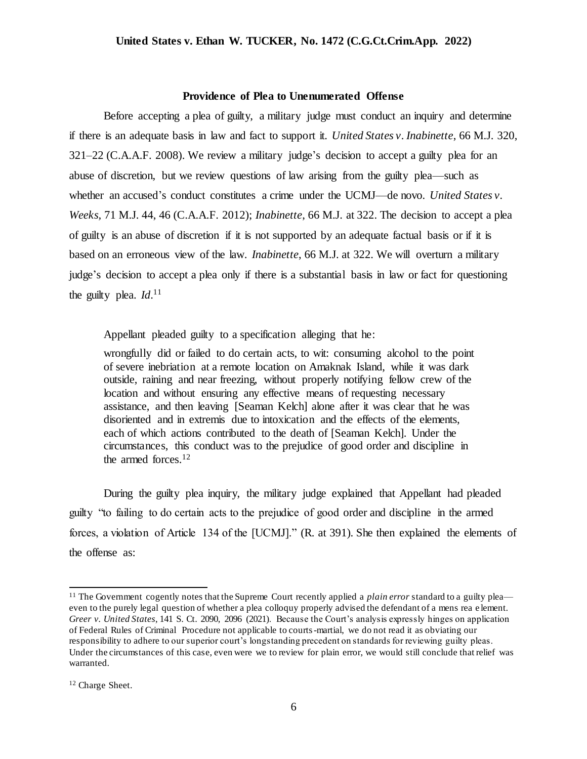#### **Providence of Plea to Unenumerated Offense**

Before accepting a plea of guilty, a military judge must conduct an inquiry and determine if there is an adequate basis in law and fact to support it. *United States v. Inabinette*, 66 M.J. 320, 321–22 (C.A.A.F. 2008). We review a military judge's decision to accept a guilty plea for an abuse of discretion, but we review questions of law arising from the guilty plea—such as whether an accused's conduct constitutes a crime under the UCMJ—de novo. *United States v. Weeks,* 71 M.J. 44, 46 (C.A.A.F. 2012); *Inabinette*, 66 M.J. at 322. The decision to accept a plea of guilty is an abuse of discretion if it is not supported by an adequate factual basis or if it is based on an erroneous view of the law. *Inabinette*, 66 M.J. at 322. We will overturn a military judge's decision to accept a plea only if there is a substantial basis in law or fact for questioning the guilty plea. *Id*.<sup>11</sup>

Appellant pleaded guilty to a specification alleging that he:

wrongfully did or failed to do certain acts, to wit: consuming alcohol to the point of severe inebriation at a remote location on Amaknak Island, while it was dark outside, raining and near freezing, without properly notifying fellow crew of the location and without ensuring any effective means of requesting necessary assistance, and then leaving [Seaman Kelch] alone after it was clear that he was disoriented and in extremis due to intoxication and the effects of the elements, each of which actions contributed to the death of [Seaman Kelch]. Under the circumstances, this conduct was to the prejudice of good order and discipline in the armed forces.<sup>12</sup>

During the guilty plea inquiry, the military judge explained that Appellant had pleaded guilty "to failing to do certain acts to the prejudice of good order and discipline in the armed forces, a violation of Article 134 of the [UCMJ]." (R. at 391). She then explained the elements of the offense as:

<sup>&</sup>lt;sup>11</sup> The Government cogently notes that the Supreme Court recently applied a *plain error* standard to a guilty plea even to the purely legal question of whether a plea colloquy properly advised the defendant of a mens rea e lement. *Greer v. United States*, 141 S. Ct. 2090, 2096 (2021). Because the Court's analysis expressly hinges on application of Federal Rules of Criminal Procedure not applicable to courts-martial, we do not read it as obviating our responsibility to adhere to our superior court's longstanding precedent on standards for reviewing guilty pleas. Under the circumstances of this case, even were we to review for plain error, we would still conclude that relief was warranted.

<sup>12</sup> Charge Sheet.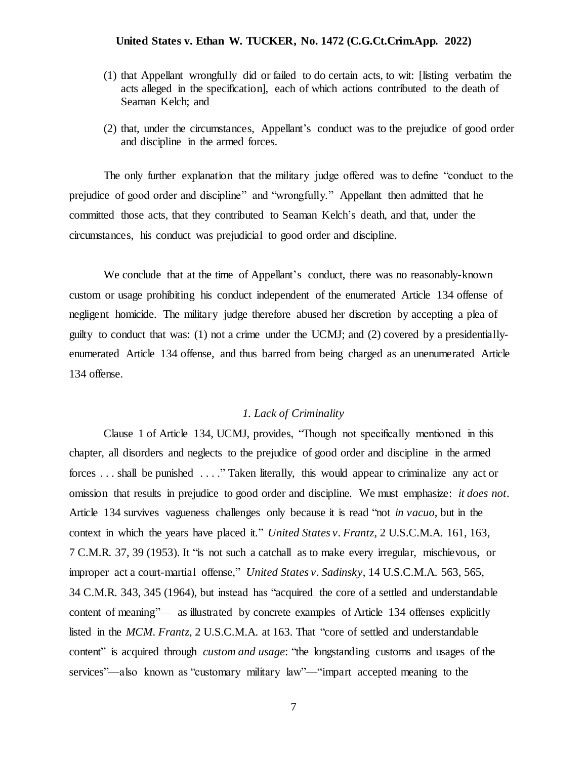- (1) that Appellant wrongfully did or failed to do certain acts, to wit: [listing verbatim the acts alleged in the specification], each of which actions contributed to the death of Seaman Kelch; and
- (2) that, under the circumstances, Appellant's conduct was to the prejudice of good order and discipline in the armed forces.

The only further explanation that the military judge offered was to define "conduct to the prejudice of good order and discipline" and "wrongfully." Appellant then admitted that he committed those acts, that they contributed to Seaman Kelch's death, and that, under the circumstances, his conduct was prejudicial to good order and discipline.

We conclude that at the time of Appellant's conduct, there was no reasonably-known custom or usage prohibiting his conduct independent of the enumerated Article 134 offense of negligent homicide. The military judge therefore abused her discretion by accepting a plea of guilty to conduct that was: (1) not a crime under the UCMJ; and (2) covered by a presidentiallyenumerated Article 134 offense, and thus barred from being charged as an unenumerated Article 134 offense.

### *1. Lack of Criminality*

Clause 1 of Article 134, UCMJ, provides, "Though not specifically mentioned in this chapter, all disorders and neglects to the prejudice of good order and discipline in the armed forces . . . shall be punished . . . ." Taken literally, this would appear to criminalize any act or omission that results in prejudice to good order and discipline. We must emphasize: *it does not*. Article 134 survives vagueness challenges only because it is read "not *in vacuo*, but in the context in which the years have placed it." *United States v. Frantz*, 2 U.S.C.M.A. 161, 163, 7 C.M.R. 37, 39 (1953). It "is not such a catchall as to make every irregular, mischievous, or improper act a court-martial offense," *United States v. Sadinsky*, 14 U.S.C.M.A. 563, 565, 34 C.M.R. 343, 345 (1964), but instead has "acquired the core of a settled and understandable content of meaning"— as illustrated by concrete examples of Article 134 offenses explicitly listed in the *MCM*. *Frantz*, 2 U.S.C.M.A. at 163. That "core of settled and understandable content" is acquired through *custom and usage*: "the longstanding customs and usages of the services"—also known as "customary military law"—"impart accepted meaning to the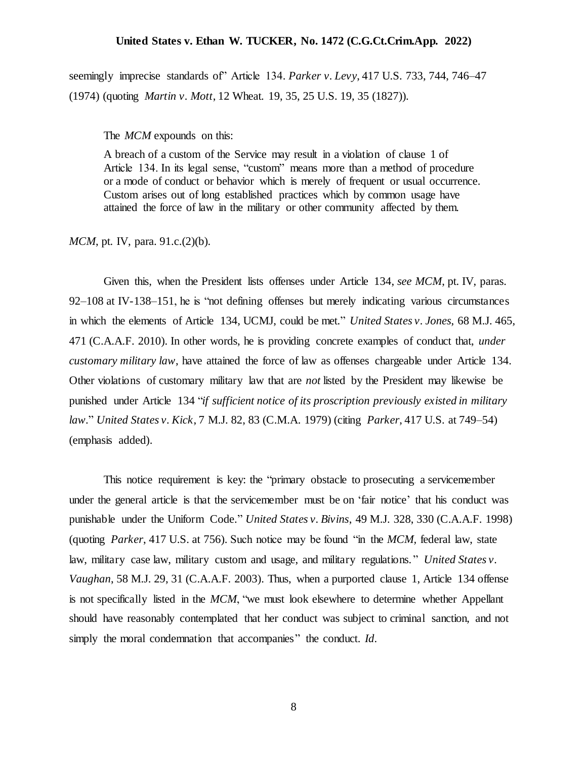seemingly imprecise standards of" Article 134. *Parker v. Levy*, 417 U.S. 733, 744, 746–47 (1974) (quoting *Martin v. Mott*, 12 Wheat. 19, 35, 25 U.S. 19, 35 (1827)).

The *MCM* expounds on this:

A breach of a custom of the Service may result in a violation of clause 1 of Article 134. In its legal sense, "custom" means more than a method of procedure or a mode of conduct or behavior which is merely of frequent or usual occurrence. Custom arises out of long established practices which by common usage have attained the force of law in the military or other community affected by them.

*MCM*, pt. IV, para. 91.c.(2)(b).

Given this, when the President lists offenses under Article 134, *see MCM*, pt. IV, paras. 92–108 at IV-138–151, he is "not defining offenses but merely indicating various circumstances in which the elements of Article 134, UCMJ, could be met." *United States v. Jones*, 68 M.J. 465, 471 (C.A.A.F. 2010). In other words, he is providing concrete examples of conduct that, *under customary military law*, have attained the force of law as offenses chargeable under Article 134. Other violations of customary military law that are *not* listed by the President may likewise be punished under Article 134 "*if sufficient notice of its proscription previously existed in military law*." *United States v. Kick*, 7 M.J. 82, 83 (C.M.A. 1979) (citing *Parker*, 417 U.S. at 749–54) (emphasis added).

This notice requirement is key: the "primary obstacle to prosecuting a servicemember under the general article is that the servicemember must be on 'fair notice' that his conduct was punishable under the Uniform Code." *United States v. Bivins*, 49 M.J. 328, 330 (C.A.A.F. 1998) (quoting *Parker*, 417 U.S. at 756). Such notice may be found "in the *MCM,* federal law, state law, military case law, military custom and usage, and military regulations. " *United States v. Vaughan*, 58 M.J. 29, 31 (C.A.A.F. 2003). Thus, when a purported clause 1, Article 134 offense is not specifically listed in the *MCM*, "we must look elsewhere to determine whether Appellant should have reasonably contemplated that her conduct was subject to criminal sanction, and not simply the moral condemnation that accompanies" the conduct. *Id*.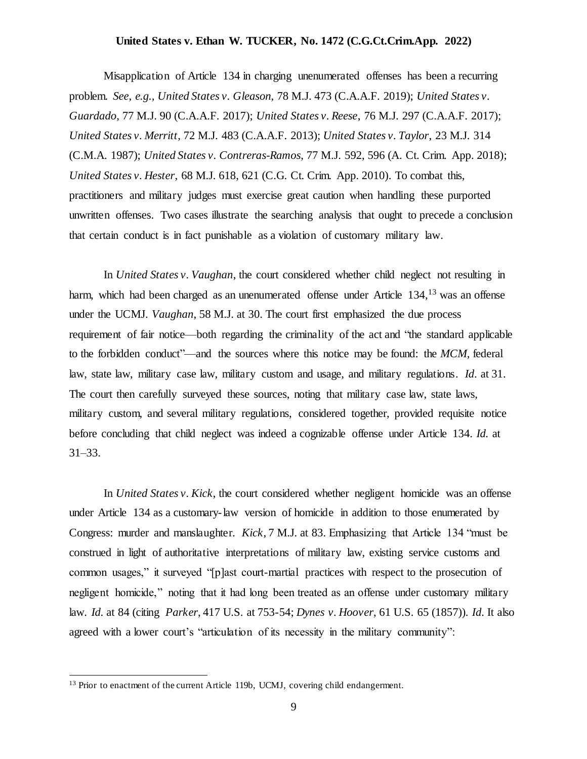Misapplication of Article 134 in charging unenumerated offenses has been a recurring problem. *See, e.g., United States v. Gleason,* 78 M.J. 473 (C.A.A.F. 2019); *United States v. Guardado*, 77 M.J. 90 (C.A.A.F. 2017); *United States v. Reese*, 76 M.J. 297 (C.A.A.F. 2017); *United States v. Merritt*, 72 M.J. 483 (C.A.A.F. 2013); *United States v. Taylor*, 23 M.J. 314 (C.M.A. 1987); *United States v. Contreras-Ramos*, 77 M.J. 592, 596 (A. Ct. Crim. App. 2018); *United States v. Hester*, 68 M.J. 618, 621 (C.G. Ct. Crim. App. 2010). To combat this, practitioners and military judges must exercise great caution when handling these purported unwritten offenses. Two cases illustrate the searching analysis that ought to precede a conclusion that certain conduct is in fact punishable as a violation of customary military law.

In *United States v. Vaughan*, the court considered whether child neglect not resulting in harm, which had been charged as an unenumerated offense under Article 134,<sup>13</sup> was an offense under the UCMJ. *Vaughan*, 58 M.J. at 30. The court first emphasized the due process requirement of fair notice—both regarding the criminality of the act and "the standard applicable to the forbidden conduct"—and the sources where this notice may be found: the *MCM,* federal law, state law, military case law, military custom and usage, and military regulations. *Id*. at 31. The court then carefully surveyed these sources, noting that military case law, state laws, military custom, and several military regulations, considered together, provided requisite notice before concluding that child neglect was indeed a cognizable offense under Article 134. *Id.* at 31–33.

In *United States v. Kick*, the court considered whether negligent homicide was an offense under Article 134 as a customary-law version of homicide in addition to those enumerated by Congress: murder and manslaughter. *Kick*, 7 M.J. at 83. Emphasizing that Article 134 "must be construed in light of authoritative interpretations of military law, existing service customs and common usages," it surveyed "[p]ast court-martial practices with respect to the prosecution of negligent homicide," noting that it had long been treated as an offense under customary military law. *Id.* at 84 (citing *Parker*, 417 U.S. at 753-54; *Dynes v. Hoover*, 61 U.S. 65 (1857)). *Id*. It also agreed with a lower court's "articulation of its necessity in the military community":

<sup>&</sup>lt;sup>13</sup> Prior to enactment of the current Article 119b, UCMJ, covering child endangerment.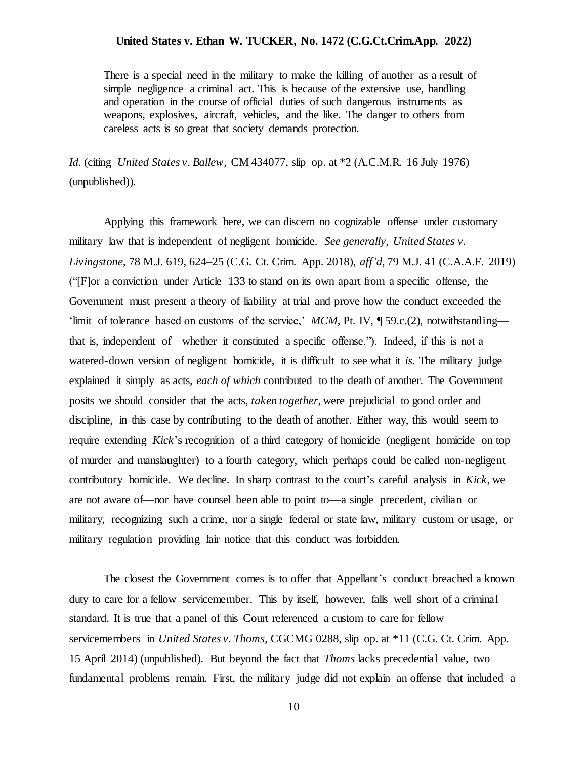There is a special need in the military to make the killing of another as a result of simple negligence a criminal act. This is because of the extensive use, handling and operation in the course of official duties of such dangerous instruments as weapons, explosives, aircraft, vehicles, and the like. The danger to others from careless acts is so great that society demands protection.

*Id.* (citing *United States v. Ballew*, CM 434077, slip op. at \*2 (A.C.M.R. 16 July 1976) (unpublished)).

Applying this framework here, we can discern no cognizable offense under customary military law that is independent of negligent homicide. *See generally, United States v. Livingstone*, 78 M.J. 619, 624–25 (C.G. Ct. Crim. App. 2018), *aff'd*, 79 M.J. 41 (C.A.A.F. 2019) ("[F]or a conviction under Article 133 to stand on its own apart from a specific offense, the Government must present a theory of liability at trial and prove how the conduct exceeded the 'limit of tolerance based on customs of the service,' *MCM*, Pt. IV, ¶ 59.c.(2), notwithstanding that is, independent of—whether it constituted a specific offense."). Indeed, if this is not a watered-down version of negligent homicide, it is difficult to see what it *is*. The military judge explained it simply as acts, *each of which* contributed to the death of another. The Government posits we should consider that the acts, *taken together*, were prejudicial to good order and discipline, in this case by contributing to the death of another. Either way, this would seem to require extending *Kick*'s recognition of a third category of homicide (negligent homicide on top of murder and manslaughter) to a fourth category, which perhaps could be called non-negligent contributory homicide. We decline. In sharp contrast to the court's careful analysis in *Kick*, we are not aware of—nor have counsel been able to point to—a single precedent, civilian or military, recognizing such a crime, nor a single federal or state law, military custom or usage, or military regulation providing fair notice that this conduct was forbidden.

The closest the Government comes is to offer that Appellant's conduct breached a known duty to care for a fellow servicemember. This by itself, however, falls well short of a criminal standard. It is true that a panel of this Court referenced a custom to care for fellow servicemembers in *United States v. Thoms*, CGCMG 0288, slip op. at \*11 (C.G. Ct. Crim. App. 15 April 2014) (unpublished). But beyond the fact that *Thoms* lacks precedential value, two fundamental problems remain. First, the military judge did not explain an offense that included a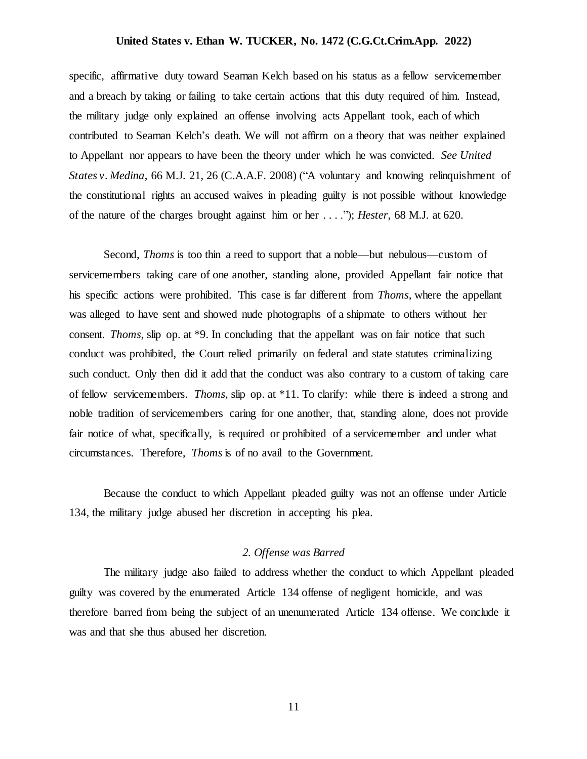specific, affirmative duty toward Seaman Kelch based on his status as a fellow servicemember and a breach by taking or failing to take certain actions that this duty required of him. Instead, the military judge only explained an offense involving acts Appellant took, each of which contributed to Seaman Kelch's death. We will not affirm on a theory that was neither explained to Appellant nor appears to have been the theory under which he was convicted. *See United States v. Medina*, 66 M.J. 21, 26 (C.A.A.F. 2008) ("A voluntary and knowing relinquishment of the constitutional rights an accused waives in pleading guilty is not possible without knowledge of the nature of the charges brought against him or her . . . ."); *Hester*, 68 M.J. at 620.

Second, *Thoms* is too thin a reed to support that a noble—but nebulous—custom of servicemembers taking care of one another, standing alone, provided Appellant fair notice that his specific actions were prohibited. This case is far different from *Thoms*, where the appellant was alleged to have sent and showed nude photographs of a shipmate to others without her consent. *Thoms*, slip op. at \*9. In concluding that the appellant was on fair notice that such conduct was prohibited, the Court relied primarily on federal and state statutes criminalizing such conduct. Only then did it add that the conduct was also contrary to a custom of taking care of fellow servicemembers. *Thoms*, slip op. at \*11. To clarify: while there is indeed a strong and noble tradition of servicemembers caring for one another, that, standing alone, does not provide fair notice of what, specifically, is required or prohibited of a servicemember and under what circumstances. Therefore, *Thoms*is of no avail to the Government.

Because the conduct to which Appellant pleaded guilty was not an offense under Article 134, the military judge abused her discretion in accepting his plea.

### *2. Offense was Barred*

The military judge also failed to address whether the conduct to which Appellant pleaded guilty was covered by the enumerated Article 134 offense of negligent homicide, and was therefore barred from being the subject of an unenumerated Article 134 offense. We conclude it was and that she thus abused her discretion.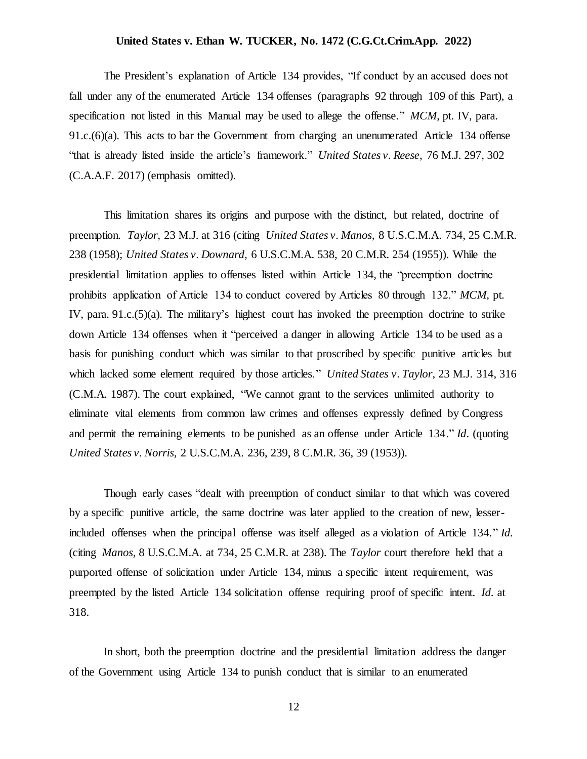The President's explanation of Article 134 provides, "If conduct by an accused does not fall under any of the enumerated Article 134 offenses (paragraphs 92 through 109 of this Part), a specification not listed in this Manual may be used to allege the offense." *MCM*, pt. IV, para. 91.c.(6)(a). This acts to bar the Government from charging an unenumerated Article 134 offense "that is already listed inside the article's framework." *United States v. Reese*, 76 M.J. 297, 302 (C.A.A.F. 2017) (emphasis omitted).

This limitation shares its origins and purpose with the distinct, but related, doctrine of preemption. *Taylor*, 23 M.J. at 316 (citing *United States v. Manos,* 8 U.S.C.M.A. 734, 25 C.M.R. 238 (1958); *United States v. Downard,* 6 U.S.C.M.A. 538, 20 C.M.R. 254 (1955)). While the presidential limitation applies to offenses listed within Article 134, the "preemption doctrine prohibits application of Article 134 to conduct covered by Articles 80 through 132." *MCM*, pt. IV, para. 91.c.(5)(a). The military's highest court has invoked the preemption doctrine to strike down Article 134 offenses when it "perceived a danger in allowing Article 134 to be used as a basis for punishing conduct which was similar to that proscribed by specific punitive articles but which lacked some element required by those articles." *United States v. Taylor*, 23 M.J. 314, 316 (C.M.A. 1987). The court explained, "We cannot grant to the services unlimited authority to eliminate vital elements from common law crimes and offenses expressly defined by Congress and permit the remaining elements to be punished as an offense under Article 134." *Id*. (quoting *United States v. Norris,* 2 U.S.C.M.A. 236, 239, 8 C.M.R. 36, 39 (1953)).

Though early cases "dealt with preemption of conduct similar to that which was covered by a specific punitive article, the same doctrine was later applied to the creation of new, lesserincluded offenses when the principal offense was itself alleged as a violation of Article 134." *Id.* (citing *Manos,* 8 U.S.C.M.A. at 734, 25 C.M.R. at 238). The *Taylor* court therefore held that a purported offense of solicitation under Article 134, minus a specific intent requirement, was preempted by the listed Article 134 solicitation offense requiring proof of specific intent. *Id*. at 318.

In short, both the preemption doctrine and the presidential limitation address the danger of the Government using Article 134 to punish conduct that is similar to an enumerated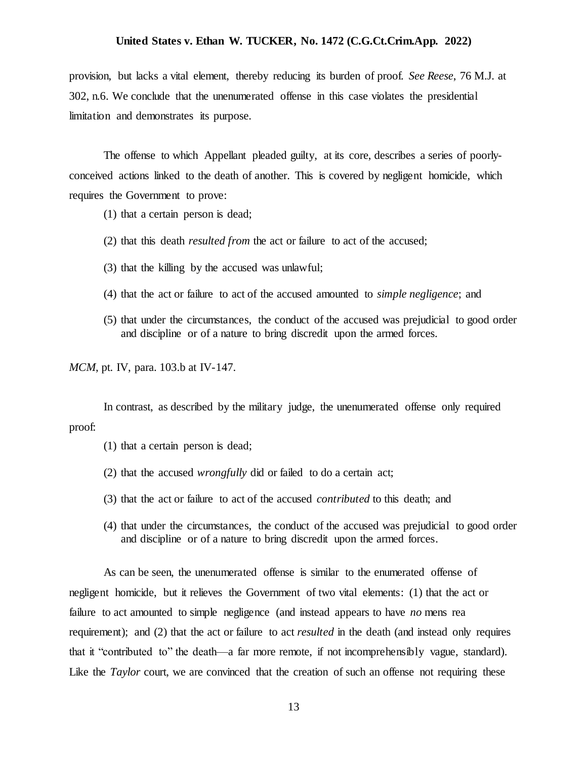provision, but lacks a vital element, thereby reducing its burden of proof. *See Reese*, 76 M.J. at 302, n.6. We conclude that the unenumerated offense in this case violates the presidential limitation and demonstrates its purpose.

The offense to which Appellant pleaded guilty, at its core, describes a series of poorlyconceived actions linked to the death of another. This is covered by negligent homicide, which requires the Government to prove:

- (1) that a certain person is dead;
- (2) that this death *resulted from* the act or failure to act of the accused;
- (3) that the killing by the accused was unlawful;
- (4) that the act or failure to act of the accused amounted to *simple negligence*; and
- (5) that under the circumstances, the conduct of the accused was prejudicial to good order and discipline or of a nature to bring discredit upon the armed forces.

*MCM*, pt. IV, para. 103.b at IV-147.

In contrast, as described by the military judge, the unenumerated offense only required proof:

- (1) that a certain person is dead;
- (2) that the accused *wrongfully* did or failed to do a certain act;
- (3) that the act or failure to act of the accused *contributed* to this death; and
- (4) that under the circumstances, the conduct of the accused was prejudicial to good order and discipline or of a nature to bring discredit upon the armed forces.

As can be seen, the unenumerated offense is similar to the enumerated offense of negligent homicide, but it relieves the Government of two vital elements: (1) that the act or failure to act amounted to simple negligence (and instead appears to have *no* mens rea requirement); and (2) that the act or failure to act *resulted* in the death (and instead only requires that it "contributed to" the death—a far more remote, if not incomprehensibly vague, standard). Like the *Taylor* court, we are convinced that the creation of such an offense not requiring these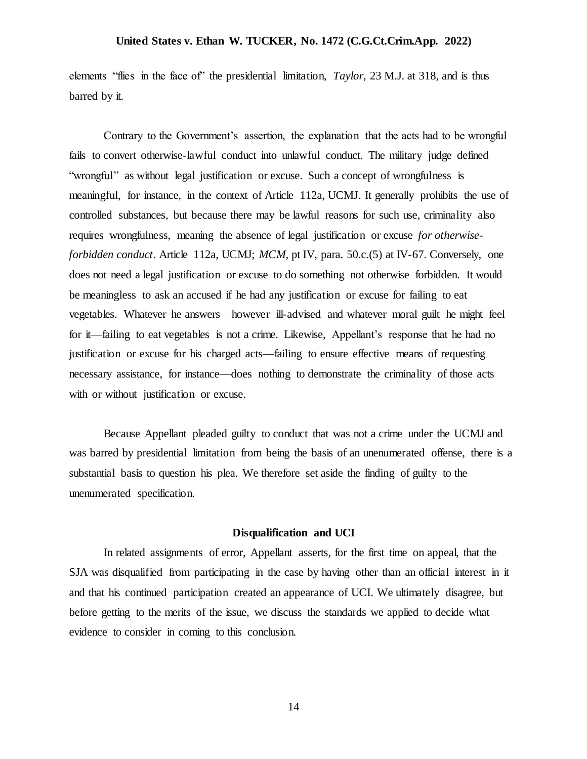elements "flies in the face of" the presidential limitation, *Taylor*, 23 M.J. at 318, and is thus barred by it.

Contrary to the Government's assertion, the explanation that the acts had to be wrongful fails to convert otherwise-lawful conduct into unlawful conduct. The military judge defined "wrongful" as without legal justification or excuse. Such a concept of wrongfulness is meaningful, for instance, in the context of Article 112a, UCMJ. It generally prohibits the use of controlled substances, but because there may be lawful reasons for such use, criminality also requires wrongfulness, meaning the absence of legal justification or excuse *for otherwiseforbidden conduct*. Article 112a, UCMJ; *MCM*, pt IV, para. 50.c.(5) at IV-67. Conversely, one does not need a legal justification or excuse to do something not otherwise forbidden. It would be meaningless to ask an accused if he had any justification or excuse for failing to eat vegetables. Whatever he answers—however ill-advised and whatever moral guilt he might feel for it—failing to eat vegetables is not a crime. Likewise, Appellant's response that he had no justification or excuse for his charged acts—failing to ensure effective means of requesting necessary assistance, for instance—does nothing to demonstrate the criminality of those acts with or without justification or excuse.

Because Appellant pleaded guilty to conduct that was not a crime under the UCMJ and was barred by presidential limitation from being the basis of an unenumerated offense, there is a substantial basis to question his plea. We therefore set aside the finding of guilty to the unenumerated specification.

### **Disqualification and UCI**

In related assignments of error, Appellant asserts, for the first time on appeal, that the SJA was disqualified from participating in the case by having other than an official interest in it and that his continued participation created an appearance of UCI. We ultimately disagree, but before getting to the merits of the issue, we discuss the standards we applied to decide what evidence to consider in coming to this conclusion.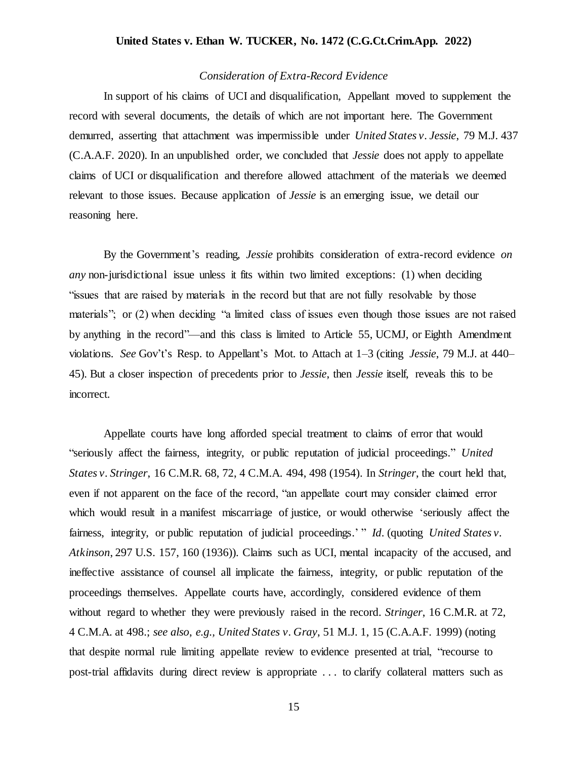### *Consideration of Extra-Record Evidence*

In support of his claims of UCI and disqualification, Appellant moved to supplement the record with several documents, the details of which are not important here. The Government demurred, asserting that attachment was impermissible under *United States v. Jessie*, 79 M.J. 437 (C.A.A.F. 2020). In an unpublished order, we concluded that *Jessie* does not apply to appellate claims of UCI or disqualification and therefore allowed attachment of the materials we deemed relevant to those issues. Because application of *Jessie* is an emerging issue, we detail our reasoning here.

By the Government's reading, *Jessie* prohibits consideration of extra-record evidence *on any* non-jurisdictional issue unless it fits within two limited exceptions: (1) when deciding "issues that are raised by materials in the record but that are not fully resolvable by those materials"; or (2) when deciding "a limited class of issues even though those issues are not raised by anything in the record"—and this class is limited to Article 55, UCMJ, or Eighth Amendment violations. *See* Gov't's Resp. to Appellant's Mot. to Attach at 1–3 (citing *Jessie*, 79 M.J. at 440– 45). But a closer inspection of precedents prior to *Jessie*, then *Jessie* itself, reveals this to be incorrect.

Appellate courts have long afforded special treatment to claims of error that would "seriously affect the fairness, integrity, or public reputation of judicial proceedings." *United States v. Stringer*, 16 C.M.R. 68, 72, 4 C.M.A. 494, 498 (1954). In *Stringer*, the court held that, even if not apparent on the face of the record, "an appellate court may consider claimed error which would result in a manifest miscarriage of justice, or would otherwise 'seriously affect the fairness, integrity, or public reputation of judicial proceedings.' " *Id.* (quoting *United States v. Atkinson*, 297 U.S. 157, 160 (1936)). Claims such as UCI, mental incapacity of the accused, and ineffective assistance of counsel all implicate the fairness, integrity, or public reputation of the proceedings themselves. Appellate courts have, accordingly, considered evidence of them without regard to whether they were previously raised in the record. *Stringer*, 16 C.M.R. at 72, 4 C.M.A. at 498.; *see also*, *e.g., United States v. Gray*, 51 M.J. 1, 15 (C.A.A.F. 1999) (noting that despite normal rule limiting appellate review to evidence presented at trial, "recourse to post-trial affidavits during direct review is appropriate . . . to clarify collateral matters such as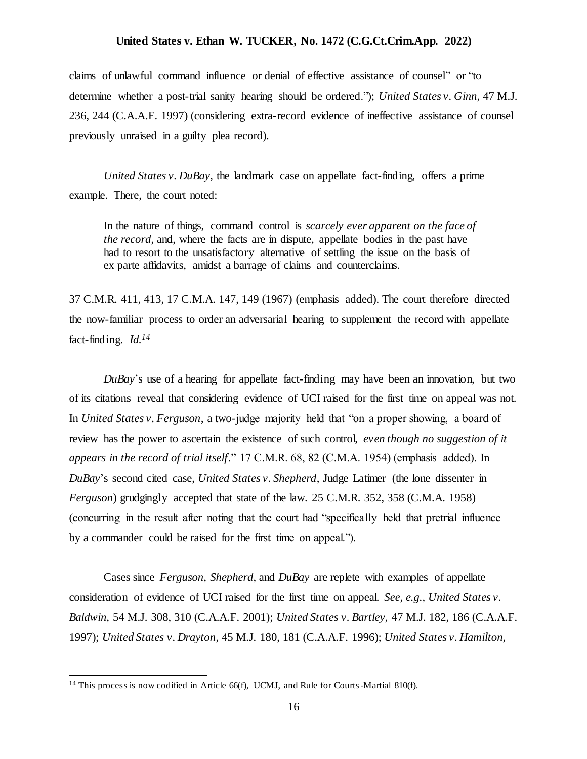claims of unlawful command influence or denial of effective assistance of counsel" or "to determine whether a post-trial sanity hearing should be ordered."); *United States v. Ginn*, 47 M.J. 236, 244 (C.A.A.F. 1997) (considering extra-record evidence of ineffective assistance of counsel previously unraised in a guilty plea record).

*United States v. DuBay*, the landmark case on appellate fact-finding, offers a prime example. There, the court noted:

In the nature of things, command control is *scarcely ever apparent on the face of the record*, and, where the facts are in dispute, appellate bodies in the past have had to resort to the unsatisfactory alternative of settling the issue on the basis of ex parte affidavits, amidst a barrage of claims and counterclaims.

37 C.M.R. 411, 413, 17 C.M.A. 147, 149 (1967) (emphasis added). The court therefore directed the now-familiar process to order an adversarial hearing to supplement the record with appellate fact-finding. *Id.<sup>14</sup>*

*DuBay*'s use of a hearing for appellate fact-finding may have been an innovation, but two of its citations reveal that considering evidence of UCI raised for the first time on appeal was not. In *United States v. Ferguson*, a two-judge majority held that "on a proper showing, a board of review has the power to ascertain the existence of such control, *even though no suggestion of it appears in the record of trial itself*." 17 C.M.R. 68, 82 (C.M.A. 1954) (emphasis added). In *DuBay*'s second cited case, *United States v. Shepherd*, Judge Latimer (the lone dissenter in *Ferguson*) grudgingly accepted that state of the law. 25 C.M.R. 352, 358 (C.M.A. 1958) (concurring in the result after noting that the court had "specifically held that pretrial influence by a commander could be raised for the first time on appeal.").

Cases since *Ferguson*, *Shepherd*, and *DuBay* are replete with examples of appellate consideration of evidence of UCI raised for the first time on appeal. *See, e.g., United States v. Baldwin*, 54 M.J. 308, 310 (C.A.A.F. 2001); *United States v. Bartley*, 47 M.J. 182, 186 (C.A.A.F. 1997); *United States v. Drayton*, 45 M.J. 180, 181 (C.A.A.F. 1996); *United States v. Hamilton,* 

<sup>&</sup>lt;sup>14</sup> This process is now codified in Article 66(f), UCMJ, and Rule for Courts-Martial 810(f).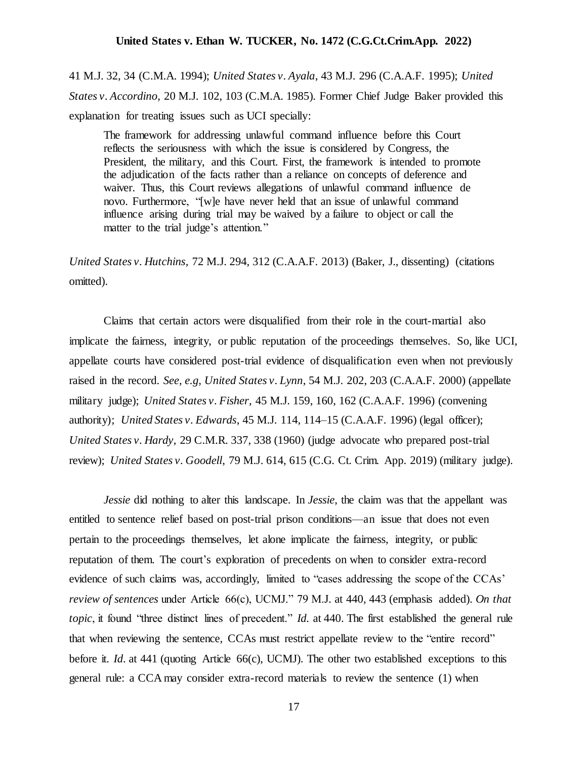41 M.J. 32, 34 (C.M.A. 1994); *United States v. Ayala*, 43 M.J. 296 (C.A.A.F. 1995); *United States v. Accordino*, 20 M.J. 102, 103 (C.M.A. 1985). Former Chief Judge Baker provided this explanation for treating issues such as UCI specially:

The framework for addressing unlawful command influence before this Court reflects the seriousness with which the issue is considered by Congress, the President, the military, and this Court. First, the framework is intended to promote the adjudication of the facts rather than a reliance on concepts of deference and waiver. Thus, this Court reviews allegations of unlawful command influence de novo. Furthermore, "[w]e have never held that an issue of unlawful command influence arising during trial may be waived by a failure to object or call the matter to the trial judge's attention."

*United States v. Hutchins*, 72 M.J. 294, 312 (C.A.A.F. 2013) (Baker, J., dissenting) (citations omitted).

Claims that certain actors were disqualified from their role in the court-martial also implicate the fairness, integrity, or public reputation of the proceedings themselves. So, like UCI, appellate courts have considered post-trial evidence of disqualification even when not previously raised in the record. *See, e.g, United States v. Lynn*, 54 M.J. 202, 203 (C.A.A.F. 2000) (appellate military judge); *United States v. Fisher*, 45 M.J. 159, 160, 162 (C.A.A.F. 1996) (convening authority); *United States v. Edwards*, 45 M.J. 114, 114–15 (C.A.A.F. 1996) (legal officer); *United States v. Hardy*, 29 C.M.R. 337, 338 (1960) (judge advocate who prepared post-trial review); *United States v. Goodell*, 79 M.J. 614, 615 (C.G. Ct. Crim. App. 2019) (military judge).

*Jessie* did nothing to alter this landscape. In *Jessie*, the claim was that the appellant was entitled to sentence relief based on post-trial prison conditions—an issue that does not even pertain to the proceedings themselves, let alone implicate the fairness, integrity, or public reputation of them. The court's exploration of precedents on when to consider extra-record evidence of such claims was, accordingly, limited to "cases addressing the scope of the CCAs' *review of sentences* under Article 66(c), UCMJ." 79 M.J*.* at 440, 443 (emphasis added). *On that topic*, it found "three distinct lines of precedent." *Id.* at 440. The first established the general rule that when reviewing the sentence, CCAs must restrict appellate review to the "entire record" before it. *Id*. at 441 (quoting Article 66(c), UCMJ). The other two established exceptions to this general rule: a CCA may consider extra-record materials to review the sentence (1) when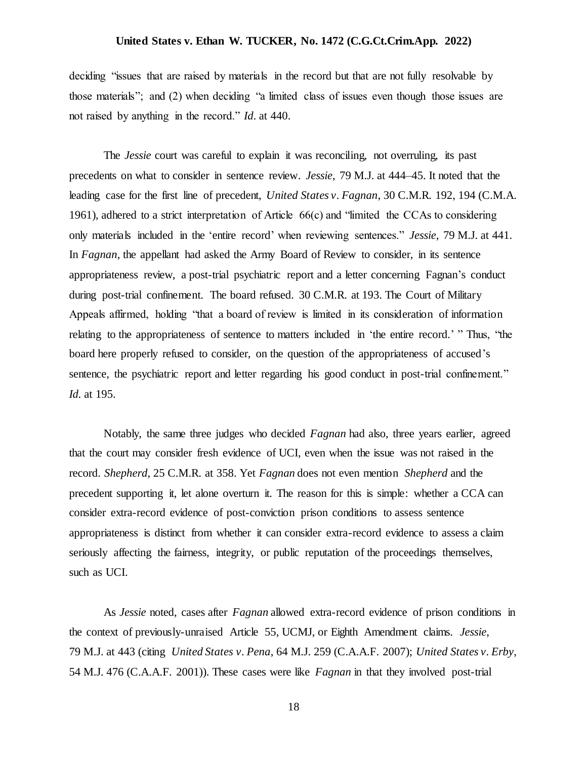deciding "issues that are raised by materials in the record but that are not fully resolvable by those materials"; and (2) when deciding "a limited class of issues even though those issues are not raised by anything in the record." *Id*. at 440.

The *Jessie* court was careful to explain it was reconciling, not overruling, its past precedents on what to consider in sentence review. *Jessie*, 79 M.J. at 444–45. It noted that the leading case for the first line of precedent, *United States v. Fagnan*, 30 C.M.R. 192, 194 (C.M.A. 1961), adhered to a strict interpretation of Article  $66(c)$  and "limited the CCAs to considering only materials included in the 'entire record' when reviewing sentences." *Jessie*, 79 M.J. at 441. In *Fagnan*, the appellant had asked the Army Board of Review to consider, in its sentence appropriateness review, a post-trial psychiatric report and a letter concerning Fagnan's conduct during post-trial confinement. The board refused. 30 C.M.R. at 193. The Court of Military Appeals affirmed, holding "that a board of review is limited in its consideration of information relating to the appropriateness of sentence to matters included in 'the entire record.' " Thus, "the board here properly refused to consider, on the question of the appropriateness of accused's sentence, the psychiatric report and letter regarding his good conduct in post-trial confinement." *Id.* at 195.

Notably, the same three judges who decided *Fagnan* had also, three years earlier, agreed that the court may consider fresh evidence of UCI, even when the issue was not raised in the record. *Shepherd*, 25 C.M.R. at 358. Yet *Fagnan* does not even mention *Shepherd* and the precedent supporting it, let alone overturn it. The reason for this is simple: whether a CCA can consider extra-record evidence of post-conviction prison conditions to assess sentence appropriateness is distinct from whether it can consider extra-record evidence to assess a claim seriously affecting the fairness, integrity, or public reputation of the proceedings themselves, such as UCI.

As *Jessie* noted, cases after *Fagnan* allowed extra-record evidence of prison conditions in the context of previously-unraised Article 55, UCMJ, or Eighth Amendment claims. *Jessie*, 79 M.J. at 443 (citing *United States v. Pena*, 64 M.J. 259 (C.A.A.F. 2007); *United States v. Erby*, 54 M.J. 476 (C.A.A.F. 2001)). These cases were like *Fagnan* in that they involved post-trial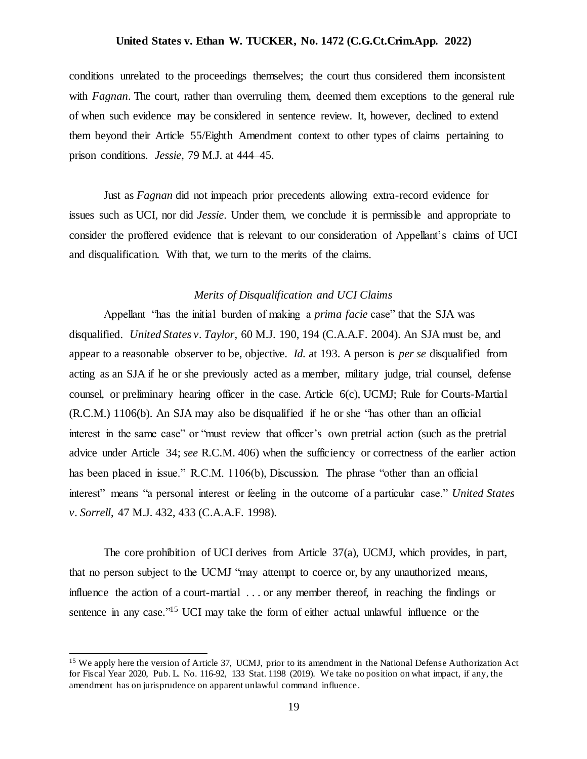conditions unrelated to the proceedings themselves; the court thus considered them inconsistent with *Fagnan*. The court, rather than overruling them, deemed them exceptions to the general rule of when such evidence may be considered in sentence review. It, however, declined to extend them beyond their Article 55/Eighth Amendment context to other types of claims pertaining to prison conditions. *Jessie*, 79 M.J. at 444–45.

Just as *Fagnan* did not impeach prior precedents allowing extra-record evidence for issues such as UCI, nor did *Jessie*. Under them, we conclude it is permissible and appropriate to consider the proffered evidence that is relevant to our consideration of Appellant's claims of UCI and disqualification. With that, we turn to the merits of the claims.

### *Merits of Disqualification and UCI Claims*

Appellant "has the initial burden of making a *prima facie* case" that the SJA was disqualified. *United States v. Taylor*, 60 M.J. 190, 194 (C.A.A.F. 2004). An SJA must be, and appear to a reasonable observer to be, objective. *Id.* at 193. A person is *per se* disqualified from acting as an SJA if he or she previously acted as a member, military judge, trial counsel, defense counsel, or preliminary hearing officer in the case. Article 6(c), UCMJ; Rule for Courts-Martial (R.C.M.) 1106(b). An SJA may also be disqualified if he or she "has other than an official interest in the same case" or "must review that officer's own pretrial action (such as the pretrial advice under Article 34; *see* R.C.M. 406) when the sufficiency or correctness of the earlier action has been placed in issue." R.C.M. 1106(b), Discussion. The phrase "other than an official interest" means "a personal interest or feeling in the outcome of a particular case." *United States v. Sorrell*, 47 M.J. 432, 433 (C.A.A.F. 1998).

The core prohibition of UCI derives from Article 37(a), UCMJ, which provides, in part, that no person subject to the UCMJ "may attempt to coerce or, by any unauthorized means, influence the action of a court-martial . . . or any member thereof, in reaching the findings or sentence in any case."<sup>15</sup> UCI may take the form of either actual unlawful influence or the

<sup>&</sup>lt;sup>15</sup> We apply here the version of Article 37, UCMJ, prior to its amendment in the National Defense Authorization Act for Fiscal Year 2020, Pub. L. No. 116-92, 133 Stat. 1198 (2019). We take no position on what impact, if any, the amendment has on jurisprudence on apparent unlawful command influence.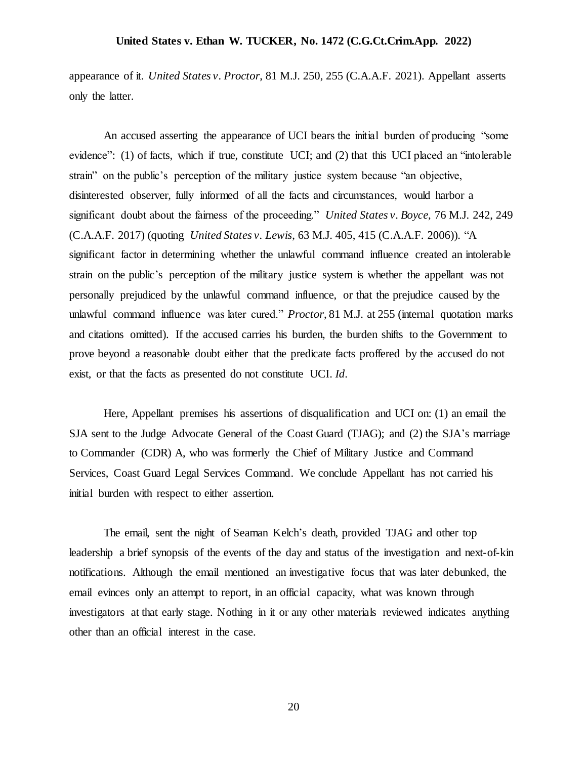appearance of it. *United States v. Proctor*, 81 M.J. 250, 255 (C.A.A.F. 2021). Appellant asserts only the latter.

An accused asserting the appearance of UCI bears the initial burden of producing "some evidence": (1) of facts, which if true, constitute UCI; and (2) that this UCI placed an "intolerable strain" on the public's perception of the military justice system because "an objective, disinterested observer, fully informed of all the facts and circumstances, would harbor a significant doubt about the fairness of the proceeding." *United States v. Boyce*, 76 M.J. 242, 249 (C.A.A.F. 2017) (quoting *United States v. Lewis*, 63 M.J. 405, 415 (C.A.A.F. 2006)). "A significant factor in determining whether the unlawful command influence created an intolerable strain on the public's perception of the military justice system is whether the appellant was not personally prejudiced by the unlawful command influence, or that the prejudice caused by the unlawful command influence was later cured." *Proctor*, 81 M.J. at 255 (internal quotation marks and citations omitted). If the accused carries his burden, the burden shifts to the Government to prove beyond a reasonable doubt either that the predicate facts proffered by the accused do not exist, or that the facts as presented do not constitute UCI. *Id*.

Here, Appellant premises his assertions of disqualification and UCI on: (1) an email the SJA sent to the Judge Advocate General of the Coast Guard (TJAG); and (2) the SJA's marriage to Commander (CDR) A, who was formerly the Chief of Military Justice and Command Services, Coast Guard Legal Services Command. We conclude Appellant has not carried his initial burden with respect to either assertion.

The email, sent the night of Seaman Kelch's death, provided TJAG and other top leadership a brief synopsis of the events of the day and status of the investigation and next-of-kin notifications. Although the email mentioned an investigative focus that was later debunked, the email evinces only an attempt to report, in an official capacity, what was known through investigators at that early stage. Nothing in it or any other materials reviewed indicates anything other than an official interest in the case.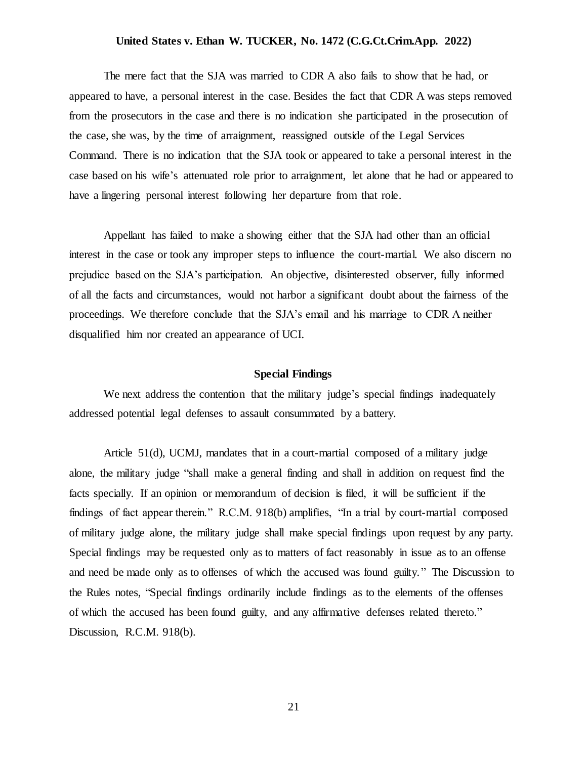The mere fact that the SJA was married to CDR A also fails to show that he had, or appeared to have, a personal interest in the case. Besides the fact that CDR A was steps removed from the prosecutors in the case and there is no indication she participated in the prosecution of the case, she was, by the time of arraignment, reassigned outside of the Legal Services Command. There is no indication that the SJA took or appeared to take a personal interest in the case based on his wife's attenuated role prior to arraignment, let alone that he had or appeared to have a lingering personal interest following her departure from that role.

Appellant has failed to make a showing either that the SJA had other than an official interest in the case or took any improper steps to influence the court-martial. We also discern no prejudice based on the SJA's participation. An objective, disinterested observer, fully informed of all the facts and circumstances, would not harbor a significant doubt about the fairness of the proceedings. We therefore conclude that the SJA's email and his marriage to CDR A neither disqualified him nor created an appearance of UCI.

### **Special Findings**

We next address the contention that the military judge's special findings inadequately addressed potential legal defenses to assault consummated by a battery.

Article 51(d), UCMJ, mandates that in a court-martial composed of a military judge alone, the military judge "shall make a general finding and shall in addition on request find the facts specially. If an opinion or memorandum of decision is filed, it will be sufficient if the findings of fact appear therein." R.C.M. 918(b) amplifies, "In a trial by court-martial composed of military judge alone, the military judge shall make special findings upon request by any party. Special findings may be requested only as to matters of fact reasonably in issue as to an offense and need be made only as to offenses of which the accused was found guilty." The Discussion to the Rules notes, "Special findings ordinarily include findings as to the elements of the offenses of which the accused has been found guilty, and any affirmative defenses related thereto." Discussion, R.C.M. 918(b).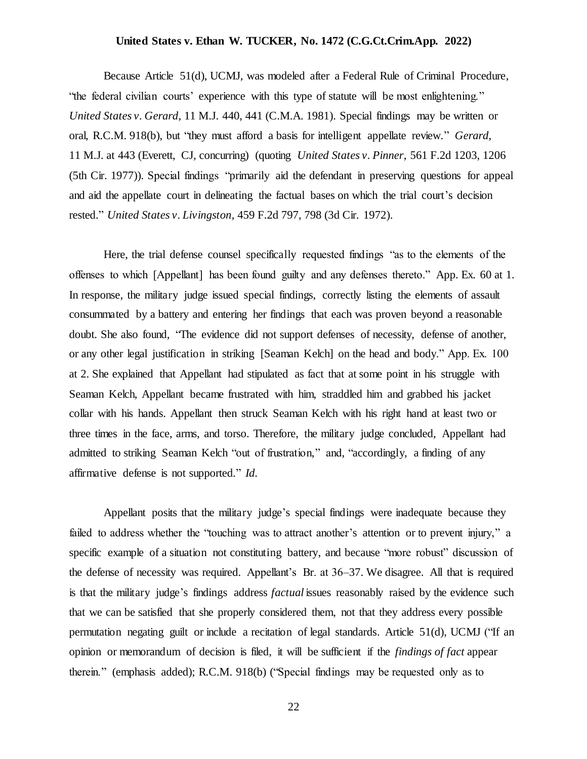Because Article 51(d), UCMJ, was modeled after a Federal Rule of Criminal Procedure, "the federal civilian courts' experience with this type of statute will be most enlightening." *United States v. Gerard*, 11 M.J. 440, 441 (C.M.A. 1981). Special findings may be written or oral, R.C.M. 918(b), but "they must afford a basis for intelligent appellate review." *Gerard*, 11 M.J. at 443 (Everett, CJ, concurring) (quoting *United States v. Pinner*, 561 F.2d 1203, 1206 (5th Cir. 1977)). Special findings "primarily aid the defendant in preserving questions for appeal and aid the appellate court in delineating the factual bases on which the trial court's decision rested." *United States v. Livingston*, 459 F.2d 797, 798 (3d Cir. 1972).

Here, the trial defense counsel specifically requested findings "as to the elements of the offenses to which [Appellant] has been found guilty and any defenses thereto." App. Ex. 60 at 1. In response, the military judge issued special findings, correctly listing the elements of assault consummated by a battery and entering her findings that each was proven beyond a reasonable doubt. She also found, "The evidence did not support defenses of necessity, defense of another, or any other legal justification in striking [Seaman Kelch] on the head and body." App. Ex. 100 at 2. She explained that Appellant had stipulated as fact that at some point in his struggle with Seaman Kelch, Appellant became frustrated with him, straddled him and grabbed his jacket collar with his hands. Appellant then struck Seaman Kelch with his right hand at least two or three times in the face, arms, and torso. Therefore, the military judge concluded, Appellant had admitted to striking Seaman Kelch "out of frustration," and, "accordingly, a finding of any affirmative defense is not supported." *Id*.

Appellant posits that the military judge's special findings were inadequate because they failed to address whether the "touching was to attract another's attention or to prevent injury," a specific example of a situation not constituting battery, and because "more robust" discussion of the defense of necessity was required. Appellant's Br. at 36–37. We disagree. All that is required is that the military judge's findings address *factual* issues reasonably raised by the evidence such that we can be satisfied that she properly considered them, not that they address every possible permutation negating guilt or include a recitation of legal standards. Article 51(d), UCMJ ("If an opinion or memorandum of decision is filed, it will be sufficient if the *findings of fact* appear therein." (emphasis added); R.C.M. 918(b) ("Special findings may be requested only as to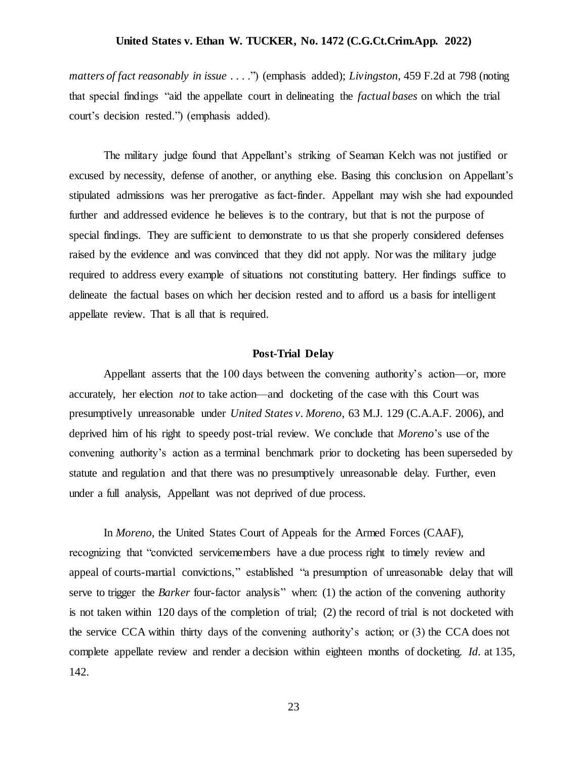*matters of fact reasonably in issue* . . . .") (emphasis added); *Livingston*, 459 F.2d at 798 (noting that special findings "aid the appellate court in delineating the *factual bases* on which the trial court's decision rested.") (emphasis added).

The military judge found that Appellant's striking of Seaman Kelch was not justified or excused by necessity, defense of another, or anything else. Basing this conclusion on Appellant's stipulated admissions was her prerogative as fact-finder. Appellant may wish she had expounded further and addressed evidence he believes is to the contrary, but that is not the purpose of special findings. They are sufficient to demonstrate to us that she properly considered defenses raised by the evidence and was convinced that they did not apply. Nor was the military judge required to address every example of situations not constituting battery. Her findings suffice to delineate the factual bases on which her decision rested and to afford us a basis for intelligent appellate review. That is all that is required.

### **Post-Trial Delay**

Appellant asserts that the 100 days between the convening authority's action—or, more accurately, her election *not* to take action—and docketing of the case with this Court was presumptively unreasonable under *United States v. Moreno*, 63 M.J. 129 (C.A.A.F. 2006), and deprived him of his right to speedy post-trial review. We conclude that *Moreno*'s use of the convening authority's action as a terminal benchmark prior to docketing has been superseded by statute and regulation and that there was no presumptively unreasonable delay. Further, even under a full analysis, Appellant was not deprived of due process.

In *Moreno*, the United States Court of Appeals for the Armed Forces (CAAF), recognizing that "convicted servicemembers have a due process right to timely review and appeal of courts-martial convictions," established "a presumption of unreasonable delay that will serve to trigger the *Barker* four-factor analysis" when: (1) the action of the convening authority is not taken within 120 days of the completion of trial; (2) the record of trial is not docketed with the service CCA within thirty days of the convening authority's action; or (3) the CCA does not complete appellate review and render a decision within eighteen months of docketing. *Id*. at 135, 142.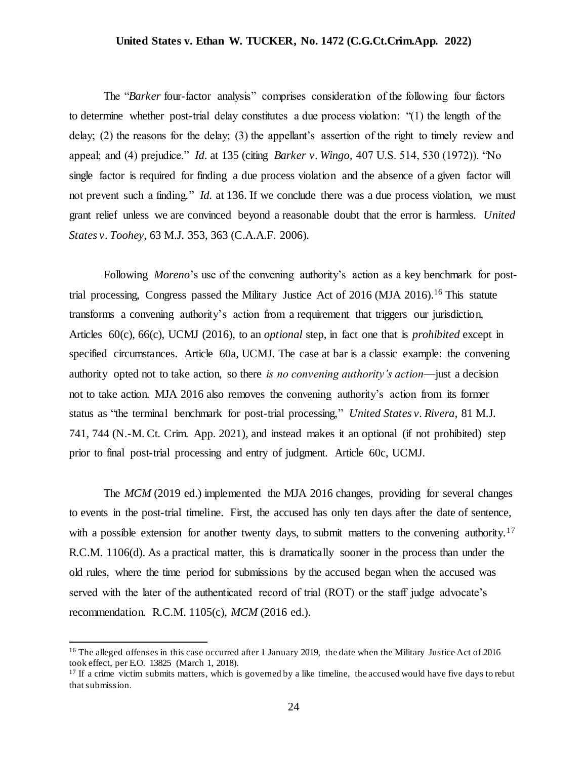The "*Barker* four-factor analysis" comprises consideration of the following four factors to determine whether post-trial delay constitutes a due process violation: "(1) the length of the delay; (2) the reasons for the delay; (3) the appellant's assertion of the right to timely review and appeal; and (4) prejudice." *Id*. at 135 (citing *Barker v. Wingo,* 407 U.S. 514, 530 (1972)). "No single factor is required for finding a due process violation and the absence of a given factor will not prevent such a finding." *Id.* at 136. If we conclude there was a due process violation, we must grant relief unless we are convinced beyond a reasonable doubt that the error is harmless. *United States v. Toohey*, 63 M.J. 353, 363 (C.A.A.F. 2006).

Following *Moreno*'s use of the convening authority's action as a key benchmark for posttrial processing, Congress passed the Military Justice Act of 2016 (MJA 2016). <sup>16</sup> This statute transforms a convening authority's action from a requirement that triggers our jurisdiction, Articles 60(c), 66(c), UCMJ (2016), to an *optional* step, in fact one that is *prohibited* except in specified circumstances. Article 60a, UCMJ. The case at bar is a classic example: the convening authority opted not to take action, so there *is no convening authority's action*—just a decision not to take action. MJA 2016 also removes the convening authority's action from its former status as "the terminal benchmark for post-trial processing," *United States v. Rivera*, 81 M.J. 741, 744 (N.-M. Ct. Crim. App. 2021), and instead makes it an optional (if not prohibited) step prior to final post-trial processing and entry of judgment. Article 60c, UCMJ.

The *MCM* (2019 ed.) implemented the MJA 2016 changes, providing for several changes to events in the post-trial timeline. First, the accused has only ten days after the date of sentence, with a possible extension for another twenty days, to submit matters to the convening authority.<sup>17</sup> R.C.M. 1106(d). As a practical matter, this is dramatically sooner in the process than under the old rules, where the time period for submissions by the accused began when the accused was served with the later of the authenticated record of trial (ROT) or the staff judge advocate's recommendation. R.C.M. 1105(c), *MCM* (2016 ed.).

<sup>&</sup>lt;sup>16</sup> The alleged offenses in this case occurred after 1 January 2019, the date when the Military Justice Act of 2016 took effect, per E.O. 13825 (March 1, 2018).

 $17$  If a crime victim submits matters, which is governed by a like timeline, the accused would have five days to rebut that submission.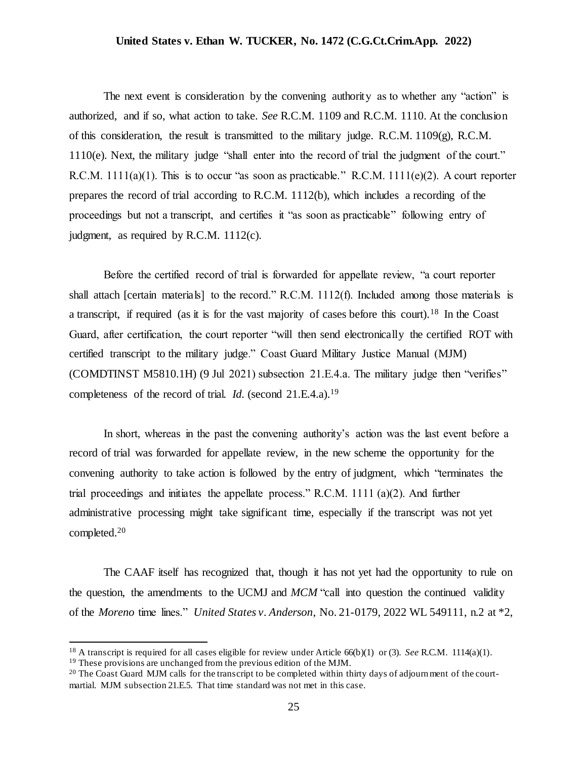The next event is consideration by the convening authority as to whether any "action" is authorized, and if so, what action to take. *See* R.C.M. 1109 and R.C.M. 1110. At the conclusion of this consideration, the result is transmitted to the military judge. R.C.M.  $1109(g)$ , R.C.M. 1110(e). Next, the military judge "shall enter into the record of trial the judgment of the court." R.C.M. 1111(a)(1). This is to occur "as soon as practicable." R.C.M. 1111(e)(2). A court reporter prepares the record of trial according to R.C.M. 1112(b), which includes a recording of the proceedings but not a transcript, and certifies it "as soon as practicable" following entry of judgment, as required by R.C.M. 1112(c).

Before the certified record of trial is forwarded for appellate review, "a court reporter shall attach [certain materials] to the record." R.C.M. 1112(f). Included among those materials is a transcript, if required (as it is for the vast majority of cases before this court).<sup>18</sup> In the Coast Guard, after certification, the court reporter "will then send electronically the certified ROT with certified transcript to the military judge." Coast Guard Military Justice Manual (MJM) (COMDTINST M5810.1H) (9 Jul 2021) subsection 21.E.4.a. The military judge then "verifies" completeness of the record of trial. *Id.* (second 21.E.4.a).<sup>19</sup>

In short, whereas in the past the convening authority's action was the last event before a record of trial was forwarded for appellate review, in the new scheme the opportunity for the convening authority to take action is followed by the entry of judgment, which "terminates the trial proceedings and initiates the appellate process." R.C.M.  $1111$  (a)(2). And further administrative processing might take significant time, especially if the transcript was not yet completed.<sup>20</sup>

The CAAF itself has recognized that, though it has not yet had the opportunity to rule on the question, the amendments to the UCMJ and *MCM* "call into question the continued validity of the *Moreno* time lines." *United States v. Anderson*, No. 21-0179, 2022 WL 549111, n.2 at \*2,

<sup>18</sup> A transcript is required for all cases eligible for review under Article 66(b)(1) or (3). *See* R.C.M. 1114(a)(1). <sup>19</sup> These provisions are unchanged from the previous edition of the MJM.

<sup>&</sup>lt;sup>20</sup> The Coast Guard MJM calls for the transcript to be completed within thirty days of adjournment of the courtmartial. MJM subsection 21.E.5. That time standard was not met in this case.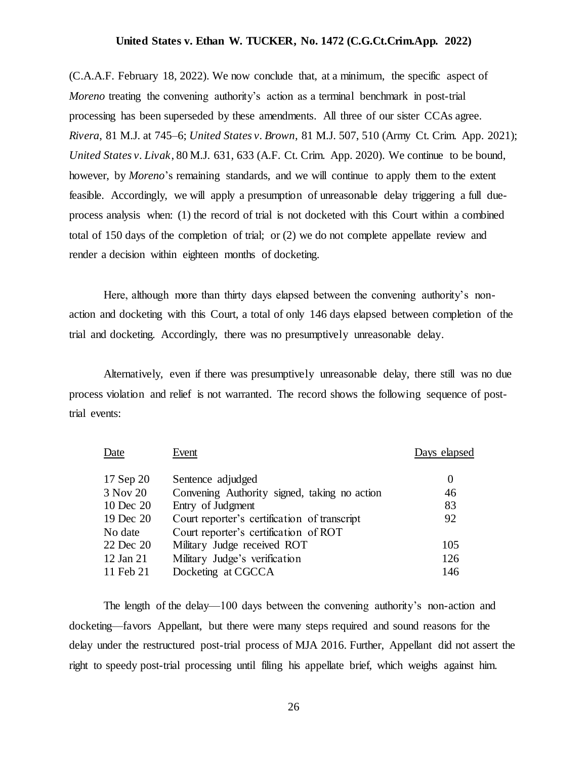(C.A.A.F. February 18, 2022). We now conclude that, at a minimum, the specific aspect of *Moreno* treating the convening authority's action as a terminal benchmark in post-trial processing has been superseded by these amendments. All three of our sister CCAs agree. *Rivera*, 81 M.J. at 745–6; *United States v. Brown*, 81 M.J. 507, 510 (Army Ct. Crim. App. 2021); *United States v. Livak*, 80 M.J. 631, 633 (A.F. Ct. Crim. App. 2020). We continue to be bound, however, by *Moreno*'s remaining standards, and we will continue to apply them to the extent feasible. Accordingly, we will apply a presumption of unreasonable delay triggering a full dueprocess analysis when: (1) the record of trial is not docketed with this Court within a combined total of 150 days of the completion of trial; or (2) we do not complete appellate review and render a decision within eighteen months of docketing.

Here, although more than thirty days elapsed between the convening authority's nonaction and docketing with this Court, a total of only 146 days elapsed between completion of the trial and docketing. Accordingly, there was no presumptively unreasonable delay.

Alternatively, even if there was presumptively unreasonable delay, there still was no due process violation and relief is not warranted. The record shows the following sequence of posttrial events:

| Event                                        | Days elapsed |
|----------------------------------------------|--------------|
| Sentence adjudged                            | $\Omega$     |
| Convening Authority signed, taking no action | 46           |
| Entry of Judgment                            | 83           |
| Court reporter's certification of transcript | 92           |
| Court reporter's certification of ROT        |              |
| Military Judge received ROT                  | 105          |
| Military Judge's verification                | 126          |
| Docketing at CGCCA                           | 146          |
|                                              |              |

The length of the delay—100 days between the convening authority's non-action and docketing—favors Appellant, but there were many steps required and sound reasons for the delay under the restructured post-trial process of MJA 2016. Further, Appellant did not assert the right to speedy post-trial processing until filing his appellate brief, which weighs against him.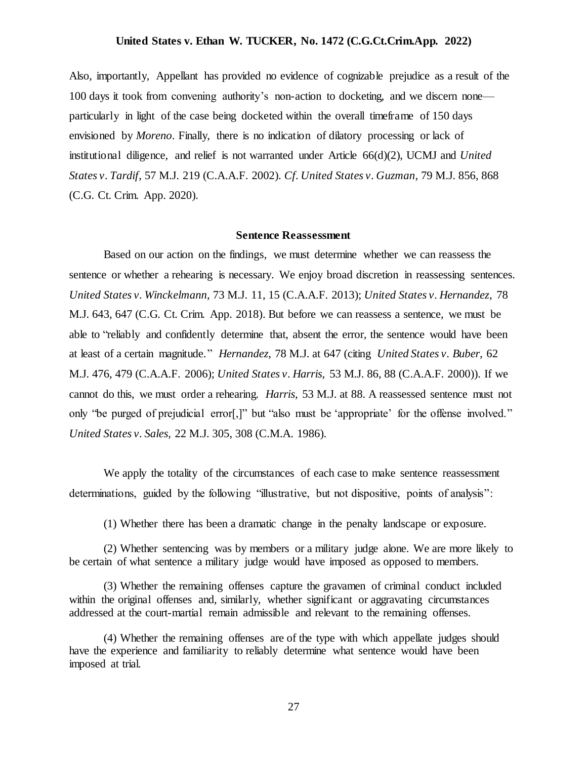Also, importantly, Appellant has provided no evidence of cognizable prejudice as a result of the 100 days it took from convening authority's non-action to docketing, and we discern none particularly in light of the case being docketed within the overall timeframe of 150 days envisioned by *Moreno*. Finally, there is no indication of dilatory processing or lack of institutional diligence, and relief is not warranted under Article 66(d)(2), UCMJ and *United States v. Tardif*, 57 M.J. 219 (C.A.A.F. 2002). *Cf. United States v. Guzman,* 79 M.J. 856, 868 (C.G. Ct. Crim. App. 2020).

### **Sentence Reassessment**

Based on our action on the findings, we must determine whether we can reassess the sentence or whether a rehearing is necessary. We enjoy broad discretion in reassessing sentences. *United States v. Winckelmann,* 73 M.J. 11, 15 (C.A.A.F. 2013); *United States v. Hernandez*, 78 M.J. 643, 647 (C.G. Ct. Crim. App. 2018). But before we can reassess a sentence, we must be able to "reliably and confidently determine that, absent the error, the sentence would have been at least of a certain magnitude." *Hernandez*, 78 M.J. at 647 (citing *United States v. Buber,* 62 M.J. 476, 479 (C.A.A.F. 2006); *United States v. Harris,* 53 M.J. 86, 88 (C.A.A.F. 2000)). If we cannot do this, we must order a rehearing. *Harris,* 53 M.J. at 88. A reassessed sentence must not only "be purged of prejudicial error[,]" but "also must be 'appropriate' for the offense involved." *United States v. Sales,* 22 M.J. 305, 308 (C.M.A. 1986).

We apply the totality of the circumstances of each case to make sentence reassessment determinations, guided by the following "illustrative, but not dispositive, points of analysis":

(1) Whether there has been a dramatic change in the penalty landscape or exposure.

(2) Whether sentencing was by members or a military judge alone. We are more likely to be certain of what sentence a military judge would have imposed as opposed to members.

(3) Whether the remaining offenses capture the gravamen of criminal conduct included within the original offenses and, similarly, whether significant or aggravating circumstances addressed at the court-martial remain admissible and relevant to the remaining offenses.

<sup>(4)</sup> Whether the remaining offenses are of the type with which appellate judges should have the experience and familiarity to reliably determine what sentence would have been imposed at trial.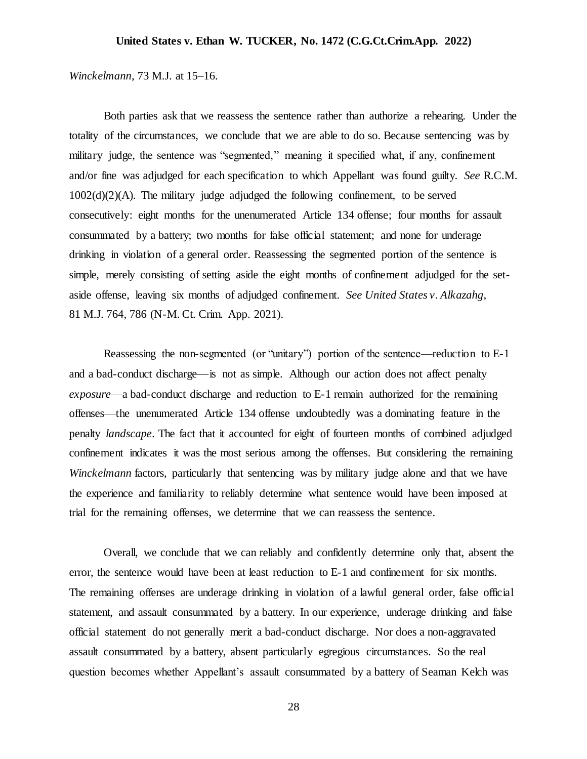### *Winckelmann,* 73 M.J. at 15–16.

Both parties ask that we reassess the sentence rather than authorize a rehearing. Under the totality of the circumstances, we conclude that we are able to do so. Because sentencing was by military judge, the sentence was "segmented," meaning it specified what, if any, confinement and/or fine was adjudged for each specification to which Appellant was found guilty. *See* R.C.M. 1002(d)(2)(A). The military judge adjudged the following confinement, to be served consecutively: eight months for the unenumerated Article 134 offense; four months for assault consummated by a battery; two months for false official statement; and none for underage drinking in violation of a general order. Reassessing the segmented portion of the sentence is simple, merely consisting of setting aside the eight months of confinement adjudged for the setaside offense, leaving six months of adjudged confinement. *See United States v. Alkazahg*, 81 M.J. 764, 786 (N-M. Ct. Crim. App. 2021).

Reassessing the non-segmented (or "unitary") portion of the sentence—reduction to E-1 and a bad-conduct discharge—is not as simple. Although our action does not affect penalty *exposure*—a bad-conduct discharge and reduction to E-1 remain authorized for the remaining offenses—the unenumerated Article 134 offense undoubtedly was a dominating feature in the penalty *landscape*. The fact that it accounted for eight of fourteen months of combined adjudged confinement indicates it was the most serious among the offenses. But considering the remaining *Winckelmann* factors, particularly that sentencing was by military judge alone and that we have the experience and familiarity to reliably determine what sentence would have been imposed at trial for the remaining offenses, we determine that we can reassess the sentence.

Overall, we conclude that we can reliably and confidently determine only that, absent the error, the sentence would have been at least reduction to E-1 and confinement for six months. The remaining offenses are underage drinking in violation of a lawful general order, false official statement, and assault consummated by a battery. In our experience, underage drinking and false official statement do not generally merit a bad-conduct discharge. Nor does a non-aggravated assault consummated by a battery, absent particularly egregious circumstances. So the real question becomes whether Appellant's assault consummated by a battery of Seaman Kelch was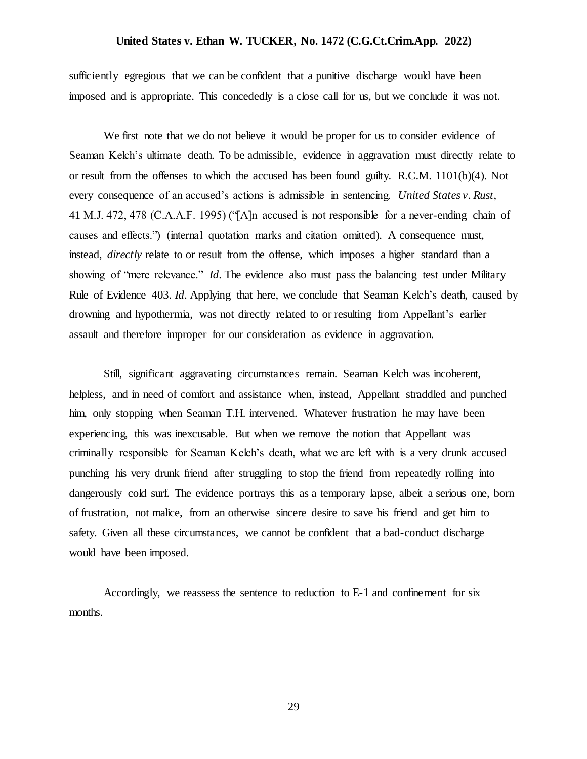sufficiently egregious that we can be confident that a punitive discharge would have been imposed and is appropriate. This concededly is a close call for us, but we conclude it was not.

We first note that we do not believe it would be proper for us to consider evidence of Seaman Kelch's ultimate death. To be admissible, evidence in aggravation must directly relate to or result from the offenses to which the accused has been found guilty. R.C.M. 1101(b)(4). Not every consequence of an accused's actions is admissible in sentencing. *United States v. Rust*, 41 M.J. 472, 478 (C.A.A.F. 1995) ("[A]n accused is not responsible for a never-ending chain of causes and effects.") (internal quotation marks and citation omitted). A consequence must, instead, *directly* relate to or result from the offense, which imposes a higher standard than a showing of "mere relevance." *Id*. The evidence also must pass the balancing test under Military Rule of Evidence 403. *Id*. Applying that here, we conclude that Seaman Kelch's death, caused by drowning and hypothermia, was not directly related to or resulting from Appellant's earlier assault and therefore improper for our consideration as evidence in aggravation.

Still, significant aggravating circumstances remain. Seaman Kelch was incoherent, helpless, and in need of comfort and assistance when, instead, Appellant straddled and punched him, only stopping when Seaman T.H. intervened. Whatever frustration he may have been experiencing, this was inexcusable. But when we remove the notion that Appellant was criminally responsible for Seaman Kelch's death, what we are left with is a very drunk accused punching his very drunk friend after struggling to stop the friend from repeatedly rolling into dangerously cold surf. The evidence portrays this as a temporary lapse, albeit a serious one, born of frustration, not malice, from an otherwise sincere desire to save his friend and get him to safety. Given all these circumstances, we cannot be confident that a bad-conduct discharge would have been imposed.

Accordingly, we reassess the sentence to reduction to E-1 and confinement for six months.